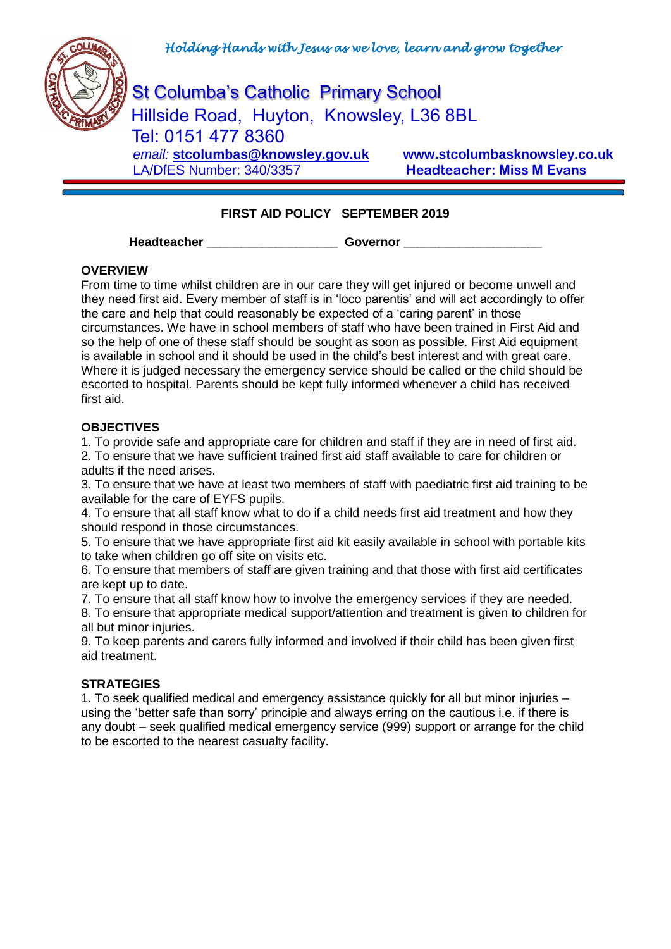

St Columba's Catholic Primary School Hillside Road, Huyton, Knowsley, L36 8BL Tel: 0151 477 8360  *email:* **[stcolumbas@knowsley.gov.uk](mailto:stcolumbas@knowsley.gov.uk) www.stcolumbasknowsley.co.uk** LA/DfES Number: 340/3357 **Headteacher: Miss M Evans**

# **FIRST AID POLICY SEPTEMBER 2019**

#### Headteacher **Covernor**

### **OVERVIEW**

From time to time whilst children are in our care they will get injured or become unwell and they need first aid. Every member of staff is in 'loco parentis' and will act accordingly to offer the care and help that could reasonably be expected of a 'caring parent' in those circumstances. We have in school members of staff who have been trained in First Aid and so the help of one of these staff should be sought as soon as possible. First Aid equipment is available in school and it should be used in the child's best interest and with great care. Where it is judged necessary the emergency service should be called or the child should be escorted to hospital. Parents should be kept fully informed whenever a child has received first aid.

### **OBJECTIVES**

1. To provide safe and appropriate care for children and staff if they are in need of first aid. 2. To ensure that we have sufficient trained first aid staff available to care for children or adults if the need arises.

3. To ensure that we have at least two members of staff with paediatric first aid training to be available for the care of EYFS pupils.

4. To ensure that all staff know what to do if a child needs first aid treatment and how they should respond in those circumstances.

5. To ensure that we have appropriate first aid kit easily available in school with portable kits to take when children go off site on visits etc.

6. To ensure that members of staff are given training and that those with first aid certificates are kept up to date.

7. To ensure that all staff know how to involve the emergency services if they are needed.

8. To ensure that appropriate medical support/attention and treatment is given to children for all but minor injuries.

9. To keep parents and carers fully informed and involved if their child has been given first aid treatment.

### **STRATEGIES**

1. To seek qualified medical and emergency assistance quickly for all but minor injuries – using the 'better safe than sorry' principle and always erring on the cautious i.e. if there is any doubt – seek qualified medical emergency service (999) support or arrange for the child to be escorted to the nearest casualty facility.